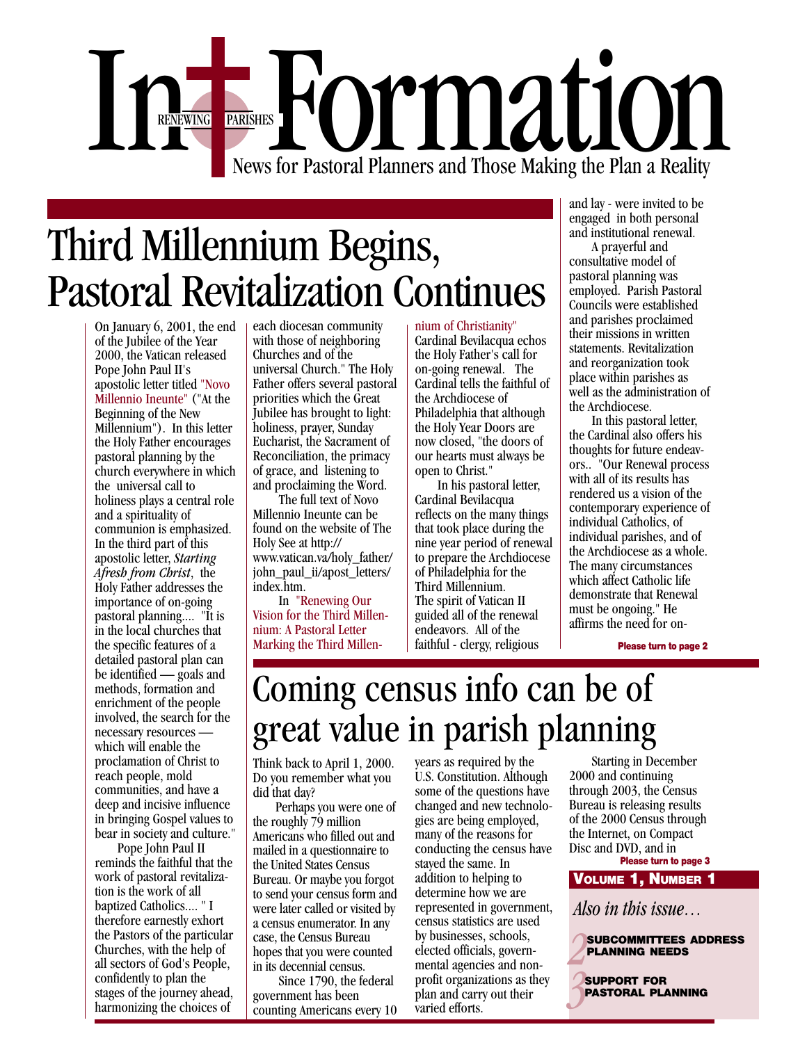

# Third Millennium Begins, Pastoral Revitalization Continues

On January 6, 2001, the end of the Jubilee of the Year 2000, the Vatican released Pope John Paul II's apostolic letter titled "Novo Millennio Ineunte" ("At the Beginning of the New Millennium"). In this letter the Holy Father encourages pastoral planning by the church everywhere in which the universal call to holiness plays a central role and a spirituality of communion is emphasized. In the third part of this apostolic letter, *Starting Afresh from Christ*, the Holy Father addresses the importance of on-going pastoral planning.... "It is in the local churches that the specific features of a detailed pastoral plan can be identified — goals and methods, formation and enrichment of the people involved, the search for the necessary resources which will enable the proclamation of Christ to reach people, mold communities, and have a deep and incisive influence in bringing Gospel values to bear in society and culture."

 Pope John Paul II reminds the faithful that the work of pastoral revitalization is the work of all baptized Catholics.... " I therefore earnestly exhort the Pastors of the particular Churches, with the help of all sectors of God's People, confidently to plan the stages of the journey ahead, harmonizing the choices of

each diocesan community with those of neighboring Churches and of the universal Church." The Holy Father offers several pastoral priorities which the Great Jubilee has brought to light: holiness, prayer, Sunday Eucharist, the Sacrament of Reconciliation, the primacy of grace, and listening to and proclaiming the Word.

 The full text of Novo Millennio Ineunte can be found on the website of The Holy See at http:// www.vatican.va/holy\_father/ john\_paul\_ii/apost\_letters/ index.htm.

 In "Renewing Our Vision for the Third Millennium: A Pastoral Letter Marking the Third Millen-

#### nium of Christianity"

Cardinal Bevilacqua echos the Holy Father's call for on-going renewal. The Cardinal tells the faithful of the Archdiocese of Philadelphia that although the Holy Year Doors are now closed, "the doors of our hearts must always be open to Christ."

 In his pastoral letter, Cardinal Bevilacqua reflects on the many things that took place during the nine year period of renewal to prepare the Archdiocese of Philadelphia for the Third Millennium. The spirit of Vatican II guided all of the renewal endeavors. All of the faithful - clergy, religious

and lay - were invited to be engaged in both personal and institutional renewal.

 A prayerful and consultative model of pastoral planning was employed. Parish Pastoral Councils were established and parishes proclaimed their missions in written statements. Revitalization and reorganization took place within parishes as well as the administration of the Archdiocese.

 In this pastoral letter, the Cardinal also offers his thoughts for future endeavors.. "Our Renewal process with all of its results has rendered us a vision of the contemporary experience of individual Catholics, of individual parishes, and of the Archdiocese as a whole. The many circumstances which affect Catholic life demonstrate that Renewal must be ongoing." He affirms the need for on-

**Please turn to page 2**

# Coming census info can be of great value in parish planning

Think back to April 1, 2000. Do you remember what you did that day?

 Perhaps you were one of the roughly 79 million Americans who filled out and mailed in a questionnaire to the United States Census Bureau. Or maybe you forgot to send your census form and were later called or visited by a census enumerator. In any case, the Census Bureau hopes that you were counted in its decennial census.

 Since 1790, the federal government has been counting Americans every 10 years as required by the U.S. Constitution. Although some of the questions have changed and new technologies are being employed, many of the reasons for conducting the census have stayed the same. In addition to helping to determine how we are represented in government, census statistics are used by businesses, schools, elected officials, governmental agencies and nonprofit organizations as they plan and carry out their varied efforts.

 Starting in December 2000 and continuing through 2003, the Census Bureau is releasing results of the 2000 Census through the Internet, on Compact Disc and DVD, and in

**VOLUME 1, NUMBER 1 Please turn to page 3**

*Also in this issue…*

*2* **SUBCOMMITTEES ADDRESS PLANNING NEEDS**

*3* **SUPPORT FOR PASTORAL PLANNING**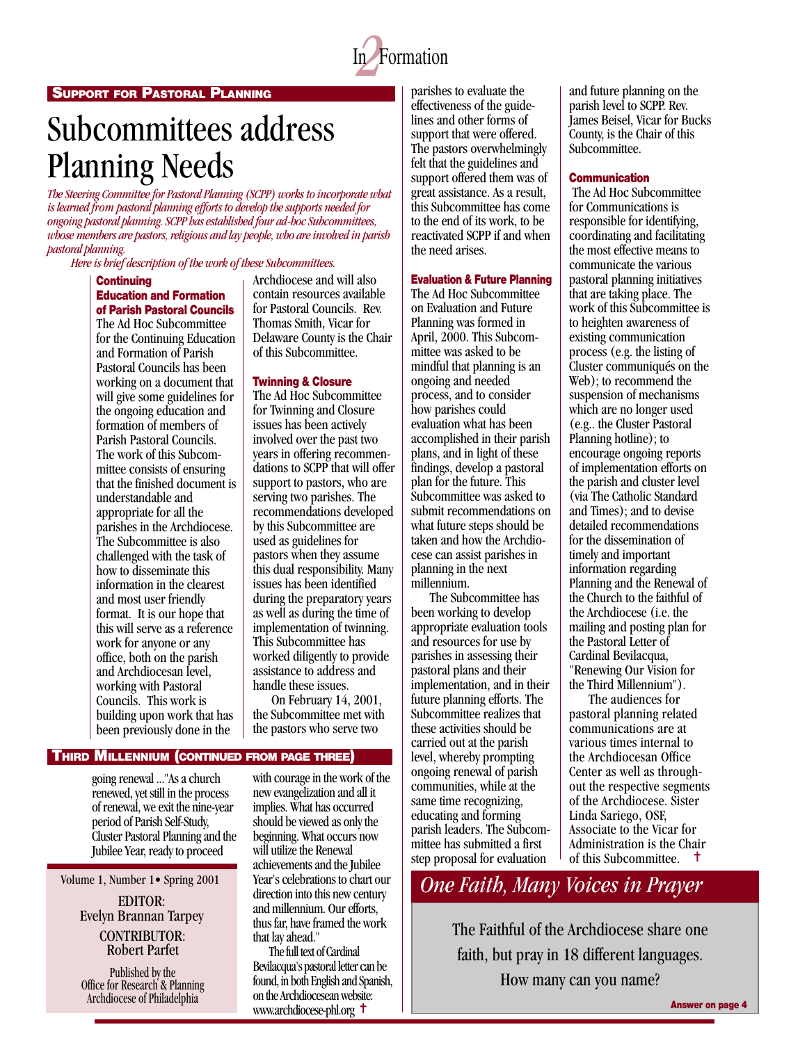

# Subcommittees address Planning Needs

*The Steering Committee for Pastoral Planning (SCPP) works to incorporate what is learned from pastoral planning efforts to develop the supports needed for ongoing pastoral planning. SCPP has established four ad-hoc Subcommittees, whose members are pastors, religious and lay people, who are involved in parish pastoral planning.*

*Here is brief description of the work of these Subcommittees.*

#### **Continuing Education and Formation of Parish Pastoral Councils**

The Ad Hoc Subcommittee for the Continuing Education and Formation of Parish Pastoral Councils has been working on a document that will give some guidelines for the ongoing education and formation of members of Parish Pastoral Councils. The work of this Subcommittee consists of ensuring that the finished document is understandable and appropriate for all the parishes in the Archdiocese. The Subcommittee is also challenged with the task of how to disseminate this information in the clearest and most user friendly format. It is our hope that this will serve as a reference work for anyone or any office, both on the parish and Archdiocesan level, working with Pastoral Councils. This work is building upon work that has been previously done in the

Archdiocese and will also contain resources available for Pastoral Councils. Rev. Thomas Smith, Vicar for Delaware County is the Chair of this Subcommittee.

#### **Twinning & Closure**

The Ad Hoc Subcommittee for Twinning and Closure issues has been actively involved over the past two years in offering recommendations to SCPP that will offer support to pastors, who are serving two parishes. The recommendations developed by this Subcommittee are used as guidelines for pastors when they assume this dual responsibility. Many issues has been identified during the preparatory years as well as during the time of implementation of twinning. This Subcommittee has worked diligently to provide assistance to address and handle these issues.

 On February 14, 2001, the Subcommittee met with the pastors who serve two

### **THIRD MILLENNIUM (CONTINUED FROM PAGE THREE)**

going renewal ..."As a church renewed, yet still in the process of renewal, we exit the nine-year period of Parish Self-Study, Cluster Pastoral Planning and the Jubilee Year, ready to proceed

Volume 1, Number 1• Spring 2001

EDITOR: Evelyn Brannan Tarpey CONTRIBUTOR: Robert Parfet

Published by the Office for Research & Planning Archdiocese of Philadelphia

with courage in the work of the new evangelization and all it implies. What has occurred should be viewed as only the beginning. What occurs now will utilize the Renewal achievements and the Jubilee Year's celebrations to chart our direction into this new century and millennium. Our efforts, thus far, have framed the work that lay ahead."

 The full text of Cardinal Bevilacqua's pastoral letter can be found, in both English and Spanish, on the Archdiocesean website: www.archdiocese-phl.org <sup>+</sup>

parishes to evaluate the effectiveness of the guidelines and other forms of support that were offered. The pastors overwhelmingly felt that the guidelines and support offered them was of great assistance. As a result, this Subcommittee has come to the end of its work, to be reactivated SCPP if and when the need arises.

#### **Evaluation & Future Planning**

The Ad Hoc Subcommittee on Evaluation and Future Planning was formed in April, 2000. This Subcommittee was asked to be mindful that planning is an ongoing and needed process, and to consider how parishes could evaluation what has been accomplished in their parish plans, and in light of these findings, develop a pastoral plan for the future. This Subcommittee was asked to submit recommendations on what future steps should be taken and how the Archdiocese can assist parishes in planning in the next millennium.

**CAN YOU GUESS?** pastoral plans and their The Subcommittee has been working to develop appropriate evaluation tools and resources for use by parishes in assessing their implementation, and in their future planning efforts. The Subcommittee realizes that these activities should be carried out at the parish level, whereby prompting ongoing renewal of parish communities, while at the same time recognizing, educating and forming parish leaders. The Subcommittee has submitted a first step proposal for evaluation

and future planning on the parish level to SCPP. Rev. James Beisel, Vicar for Bucks County, is the Chair of this Subcommittee.

#### **Communication**

 The Ad Hoc Subcommittee for Communications is responsible for identifying, coordinating and facilitating the most effective means to communicate the various pastoral planning initiatives that are taking place. The work of this Subcommittee is to heighten awareness of existing communication process (e.g. the listing of Cluster communiqués on the Web); to recommend the suspension of mechanisms which are no longer used (e.g.. the Cluster Pastoral Planning hotline); to encourage ongoing reports of implementation efforts on the parish and cluster level (via The Catholic Standard and Times); and to devise detailed recommendations for the dissemination of timely and important information regarding Planning and the Renewal of the Church to the faithful of the Archdiocese (i.e. the mailing and posting plan for the Pastoral Letter of Cardinal Bevilacqua, "Renewing Our Vision for the Third Millennium").

 The audiences for pastoral planning related communications are at various times internal to the Archdiocesan Office Center as well as throughout the respective segments of the Archdiocese. Sister Linda Sariego, OSF, Associate to the Vicar for Administration is the Chair of this Subcommittee. <sup>†</sup>

### *One Faith, Many Voices in Prayer*

The Faithful of the Archdiocese share one faith, but pray in 18 different languages. How many can you name?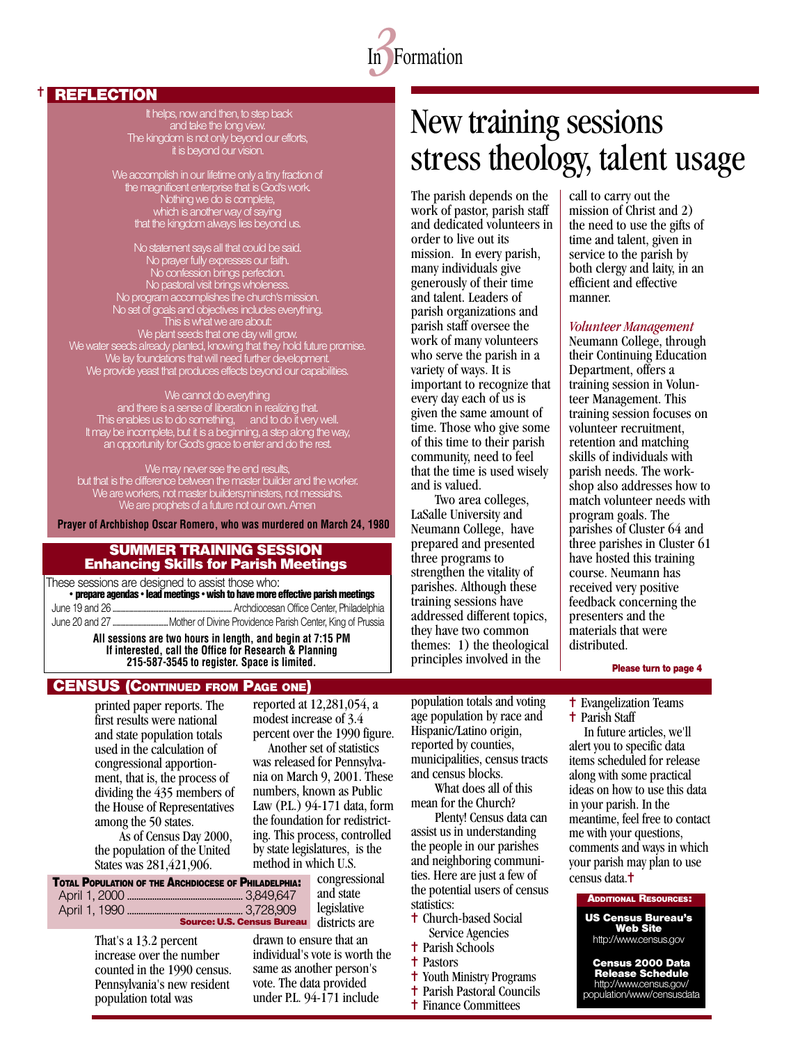

#### **REFLECTION**

✝

It helps, now and then, to step back and take the long view. The kingdom is not only beyond our efforts, it is beyond our vision.

We accomplish in our lifetime only a tiny fraction of the magnificent enterprise that is God's work. Nothing we do is complete, which is another way of saying that the kingdom always lies beyond us.

No statement says all that could be said. No prayer fully expresses our faith. No confession brings perfection. No pastoral visit brings wholeness. No program accomplishes the church's mission. No set of goals and objectives includes everything. This is what we are about: We plant seeds that one day will grow. We water seeds already planted, knowing that they hold future promise. We lay foundations that will need further development. We provide yeast that produces effects beyond our capabilities.

We cannot do everything and there is a sense of liberation in realizing that. This enables us to do something, and to do it very well. It may be incomplete, but it is a beginning, a step along the way, an opportunity for God's grace to enter and do the rest.

We may never see the end results, but that is the difference between the master builder and the worker. We are workers, not master builders,ministers, not messiahs. We are prophets of a future not our own. Amen

**Prayer of Archbishop Oscar Romero, who was murdered on March 24, 1980**

#### SUMMER TRAINING SESSION Enhancing Skills for Parish Meetings

These sessions are designed to assist those who: **• prepare agendas • lead meetings • wish to have more effective parish meetings** June 19 and 26 ......................................................................... Archdiocesan Office Center, Philadelphia

June 20 and 27 .................................. Mother of Divine Providence Parish Center, King of Prussia

**All sessions are two hours in length, and begin at 7:15 PM If interested, call the Office for Research & Planning 215-587-3545 to register. Space is limited.**

#### **CENSUS (CONTINUED FROM PAGE ONE)**

printed paper reports. The first results were national and state population totals used in the calculation of congressional apportionment, that is, the process of dividing the 435 members of the House of Representatives among the 50 states.

 As of Census Day 2000, the population of the United States was 281,421,906.

| <b>TOTAL POPULATION OF THE ARCHDIOCESE OF PHILADELPHIA:</b> | congressional | ties. Here are just a few of                 | census data. <sup>†</sup> |
|-------------------------------------------------------------|---------------|----------------------------------------------|---------------------------|
|                                                             | and state     | the potential users of census<br>statistics: | <b>ADDITIONAL</b>         |
| <b>Source: U.S. Census Bureau</b> districts are             | legislative   | <sup>t</sup> Church-based Social             | <b>US Censu</b>           |
|                                                             |               |                                              |                           |

reported at 12,281,054, a modest increase of 3.4 percent over the 1990 figure.

 Another set of statistics was released for Pennsylvania on March 9, 2001. These numbers, known as Public Law (P.L.) 94-171 data, form the foundation for redistricting. This process, controlled by state legislatures, is the method in which U.S.

> congressional and state legislative districts are

That's a 13.2 percent increase over the number counted in the 1990 census. Pennsylvania's new resident population total was

drawn to ensure that an individual's vote is worth the same as another person's vote. The data provided under P.L. 94-171 include

New training sessions stress theology, talent usage

The parish depends on the work of pastor, parish staff and dedicated volunteers in order to live out its mission. In every parish, many individuals give generously of their time and talent. Leaders of parish organizations and parish staff oversee the work of many volunteers who serve the parish in a variety of ways. It is important to recognize that every day each of us is given the same amount of time. Those who give some of this time to their parish community, need to feel that the time is used wisely and is valued.

Two area colleges, LaSalle University and Neumann College, have prepared and presented three programs to strengthen the vitality of parishes. Although these training sessions have addressed different topics, they have two common themes: 1) the theological principles involved in the

population totals and voting age population by race and Hispanic/Latino origin, reported by counties, municipalities, census tracts

What does all of this mean for the Church?

✝ Church-based Social Service Agencies ✝ Parish Schools ✝ Pastors

✝ Youth Ministry Programs ✝ Parish Pastoral Councils ✝ Finance Committees

Plenty! Census data can assist us in understanding the people in our parishes and neighboring communi-

and census blocks.

call to carry out the mission of Christ and 2) the need to use the gifts of time and talent, given in service to the parish by both clergy and laity, in an efficient and effective manner.

#### *Volunteer Management*

Neumann College, through their Continuing Education Department, offers a training session in Volunteer Management. This training session focuses on volunteer recruitment, retention and matching skills of individuals with parish needs. The workshop also addresses how to match volunteer needs with program goals. The parishes of Cluster 64 and three parishes in Cluster 61 have hosted this training course. Neumann has received very positive feedback concerning the presenters and the materials that were distributed.

**Please turn to page 4**

✝ Evangelization Teams ✝ Parish Staff

In future articles, we'll alert you to specific data items scheduled for release along with some practical ideas on how to use this data in your parish. In the meantime, feel free to contact me with your questions, comments and ways in which your parish may plan to use

#### **ADDITIONAL RESOURCES:**

**US Census Bureau's Web Site** http://www.census.gov

**Census 2000 Data Release Schedule** http://www.census.gov/

population/www/censusdata